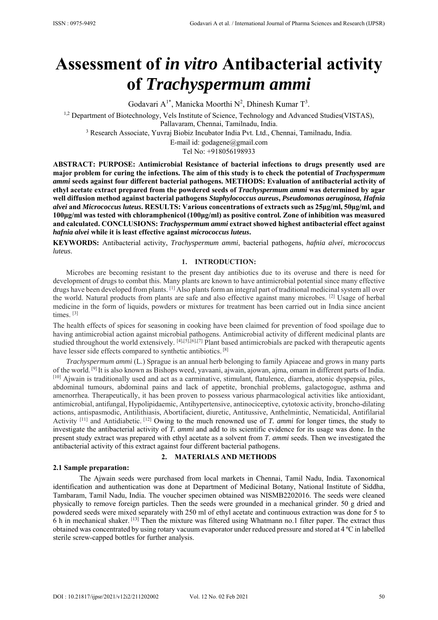# **Assessment of** *in vitro* **Antibacterial activity of** *Trachyspermum ammi*

Godavari A<sup>1\*</sup>, Manicka Moorthi N<sup>2</sup>, Dhinesh Kumar T<sup>3</sup>.

<sup>1,2</sup> Department of Biotechnology, Vels Institute of Science, Technology and Advanced Studies(VISTAS), Pallavaram, Chennai, Tamilnadu, India. <sup>3</sup> Research Associate, Yuvraj Biobiz Incubator India Pvt. Ltd., Chennai, Tamilnadu, India.

E-mail id: godagene@gmail.com

Tel No: +918056198933

**ABSTRACT: PURPOSE: Antimicrobial Resistance of bacterial infections to drugs presently used are major problem for curing the infections. The aim of this study is to check the potential of** *Trachyspermum ammi* **seeds against four different bacterial pathogens. METHODS: Evaluation of antibacterial activity of ethyl acetate extract prepared from the powdered seeds of** *Trachyspermum ammi* **was determined by agar well diffusion method against bacterial pathogens** *Staphylococcus aureus***,** *Pseudomonas aeruginosa, Hafnia alvei* **and** *Micrococcus luteus***. RESULTS: Various concentrations of extracts such as 25μg/ml, 50μg/ml, and 100μg/ml was tested with chloramphenicol (100μg/ml) as positive control. Zone of inhibition was measured and calculated. CONCLUSIONS:** *Trachyspermum ammi* **extract showed highest antibacterial effect against**  *hafnia alvei* **while it is least effective against** *micrococcus luteus***.** 

**KEYWORDS:** Antibacterial activity, *Trachyspermum ammi*, bacterial pathogens, *hafnia alvei*, *micrococcus luteus*.

# **1. INTRODUCTION:**

Microbes are becoming resistant to the present day antibiotics due to its overuse and there is need for development of drugs to combat this. Many plants are known to have antimicrobial potential since many effective drugs have been developed from plants. [1] Also plants form an integral part of traditional medicinal system all over the world. Natural products from plants are safe and also effective against many microbes. [2] Usage of herbal medicine in the form of liquids, powders or mixtures for treatment has been carried out in India since ancient times.<sup>[3]</sup>

The health effects of spices for seasoning in cooking have been claimed for prevention of food spoilage due to having antimicrobial action against microbial pathogens. Antimicrobial activity of different medicinal plants are studied throughout the world extensively. [4],[5],[6],[7] Plant based antimicrobials are packed with therapeutic agents have lesser side effects compared to synthetic antibiotics.<sup>[8]</sup>

*Trachyspermum ammi* (L.) Sprague is an annual herb belonging to family Apiaceae and grows in many parts of the world. [9] It is also known as Bishops weed, yavaani, ajwain, ajowan, ajma, omam in different parts of India.  $[10]$  Ajwain is traditionally used and act as a carminative, stimulant, flatulence, diarrhea, atonic dyspepsia, piles, abdominal tumours, abdominal pains and lack of appetite, bronchial problems, galactogogue, asthma and amenorrhea. Therapeutically, it has been proven to possess various pharmacological activities like antioxidant, antimicrobial, antifungal, Hypolipidaemic, Antihypertensive, antinociceptive, cytotoxic activity, broncho-dilating actions, antispasmodic, Antilithiasis, Abortifacient, diuretic, Antitussive, Anthelmintic, Nematicidal, Antifilarial Activity [11] and Antidiabetic. [12] Owing to the much renowned use of *T. ammi* for longer times, the study to investigate the antibacterial activity of *T. ammi* and add to its scientific evidence for its usage was done. In the present study extract was prepared with ethyl acetate as a solvent from *T. ammi* seeds. Then we investigated the antibacterial activity of this extract against four different bacterial pathogens.

#### **2. MATERIALS AND METHODS**

#### **2.1 Sample preparation:**

 The Ajwain seeds were purchased from local markets in Chennai, Tamil Nadu, India. Taxonomical identification and authentication was done at Department of Medicinal Botany, National Institute of Siddha, Tambaram, Tamil Nadu, India. The voucher specimen obtained was NISMB2202016. The seeds were cleaned physically to remove foreign particles. Then the seeds were grounded in a mechanical grinder. 50 g dried and powdered seeds were mixed separately with 250 ml of ethyl acetate and continuous extraction was done for 5 to 6 h in mechanical shaker. [13] Then the mixture was filtered using Whatmann no.1 filter paper. The extract thus obtained was concentrated by using rotary vacuum evaporator under reduced pressure and stored at 4 ºC in labelled sterile screw-capped bottles for further analysis.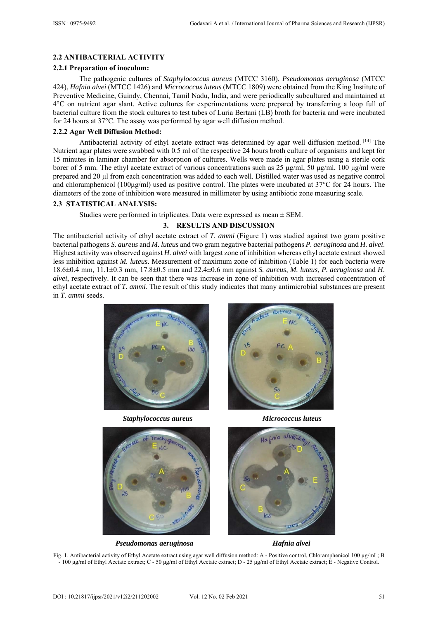## **2.2 ANTIBACTERIAL ACTIVITY**

## **2.2.1 Preparation of inoculum:**

 The pathogenic cultures of *Staphylococcus aureus* (MTCC 3160), *Pseudomonas aeruginosa* (MTCC 424), *Hafnia alvei* (MTCC 1426) and *Micrococcus luteus* (MTCC 1809) were obtained from the King Institute of Preventive Medicine, Guindy, Chennai, Tamil Nadu, India, and were periodically subcultured and maintained at 4°C on nutrient agar slant. Active cultures for experimentations were prepared by transferring a loop full of bacterial culture from the stock cultures to test tubes of Luria Bertani (LB) broth for bacteria and were incubated for 24 hours at 37°C. The assay was performed by agar well diffusion method.

#### **2.2.2 Agar Well Diffusion Method:**

 Antibacterial activity of ethyl acetate extract was determined by agar well diffusion method. [14] The Nutrient agar plates were swabbed with 0.5 ml of the respective 24 hours broth culture of organisms and kept for 15 minutes in laminar chamber for absorption of cultures. Wells were made in agar plates using a sterile cork borer of 5 mm. The ethyl acetate extract of various concentrations such as 25 μg/ml, 50 μg/ml, 100 μg/ml were prepared and 20 μl from each concentration was added to each well. Distilled water was used as negative control and chloramphenicol (100μg/ml) used as positive control. The plates were incubated at 37°C for 24 hours. The diameters of the zone of inhibition were measured in millimeter by using antibiotic zone measuring scale.

#### **2.3 STATISTICAL ANALYSIS:**

Studies were performed in triplicates. Data were expressed as mean  $\pm$  SEM.

# **3. RESULTS AND DISCUSSION**

The antibacterial activity of ethyl acetate extract of *T. ammi* (Figure 1) was studied against two gram positive bacterial pathogens *S. aureus* and *M. luteus* and two gram negative bacterial pathogens *P. aeruginosa* and *H. alvei*. Highest activity was observed against *H. alvei* with largest zone of inhibition whereas ethyl acetate extract showed less inhibition against *M. luteus*. Measurement of maximum zone of inhibition (Table 1) for each bacteria were 18.6±0.4 mm, 11.1±0.3 mm, 17.8±0.5 mm and 22.4±0.6 mm against *S. aureus*, *M. luteus*, *P. aeruginosa* and *H. alvei*, respectively. It can be seen that there was increase in zone of inhibition with increased concentration of ethyl acetate extract of *T. ammi*. The result of this study indicates that many antimicrobial substances are present in *T. ammi* seeds.



 *Staphylococcus aureus Micrococcus luteus* 





*Pseudomonas aeruginosa Hafnia alvei* 

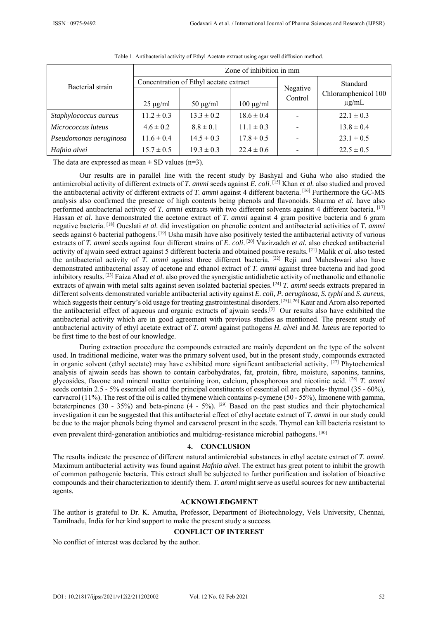|                        | Zone of inhibition in mm               |                |                |                          |                                   |  |
|------------------------|----------------------------------------|----------------|----------------|--------------------------|-----------------------------------|--|
| Bacterial strain       | Concentration of Ethyl acetate extract |                |                | Negative                 | Standard                          |  |
|                        | $25 \mu g/ml$                          | $50 \mu g/ml$  | $100 \mu g/ml$ | Control                  | Chloramphenicol 100<br>$\mu$ g/mL |  |
| Staphylococcus aureus  | $11.2 \pm 0.3$                         | $13.3 \pm 0.2$ | $18.6 \pm 0.4$ | $\overline{\phantom{a}}$ | $22.1 \pm 0.3$                    |  |
| Micrococcus luteus     | $4.6 \pm 0.2$                          | $8.8 \pm 0.1$  | $11.1 \pm 0.3$ | $\overline{\phantom{a}}$ | $13.8 \pm 0.4$                    |  |
| Pseudomonas aeruginosa | $11.6 \pm 0.4$                         | $14.5 \pm 0.3$ | $17.8 \pm 0.5$ | -                        | $23.1 \pm 0.5$                    |  |
| Hafnia alvei           | $15.7 \pm 0.5$                         | $19.3 \pm 0.3$ | $22.4 \pm 0.6$ | $\,$                     | $22.5 \pm 0.5$                    |  |

|  | Table 1. Antibacterial activity of Ethyl Acetate extract using agar well diffusion method. |
|--|--------------------------------------------------------------------------------------------|
|  |                                                                                            |

The data are expressed as mean  $\pm$  SD values (n=3).

 Our results are in parallel line with the recent study by Bashyal and Guha who also studied the antimicrobial activity of different extracts of *T. ammi* seeds against *E. coli*. [15] Khan *et al.* also studied and proved the antibacterial activity of different extracts of *T. ammi* against 4 different bacteria. [16] Furthermore the GC-MS analysis also confirmed the presence of high contents being phenols and flavonoids. Sharma *et al.* have also performed antibacterial activity of *T. ammi* extracts with two different solvents against 4 different bacteria. [17] Hassan *et al.* have demonstrated the acetone extract of *T. ammi* against 4 gram positive bacteria and 6 gram negative bacteria. [18] Oueslati *et al.* did investigation on phenolic content and antibacterial activities of *T. ammi* seeds against 6 bacterial pathogens. [19] Usha masih have also positively tested the antibacterial activity of various extracts of *T. ammi* seeds against four different strains of *E. coli*.<sup>[20]</sup> Vazirzadeh *et al.* also checked antibacterial activity of ajwain seed extract against 5 different bacteria and obtained positive results. [21] Malik *et al.* also tested the antibacterial activity of *T. ammi* against three different bacteria. [22] Reji and Maheshwari also have demonstrated antibacterial assay of acetone and ethanol extract of *T. ammi* against three bacteria and had good inhibitory results. [23] Faiza Ahad *et al.* also proved the synergistic antidiabetic activity of methanolic and ethanolic extracts of ajwain with metal salts against seven isolated bacterial species. [24] *T. ammi* seeds extracts prepared in different solvents demonstrated variable antibacterial activity against *E. coli, P. aeruginosa, S. typhi* and *S. aureus*, which suggests their century's old usage for treating gastrointestinal disorders. [25],[26] Kaur and Arora also reported the antibacterial effect of aqueous and organic extracts of ajwain seeds.[3] Our results also have exhibited the antibacterial activity which are in good agreement with previous studies as mentioned. The present study of antibacterial activity of ethyl acetate extract of *T. ammi* against pathogens *H. alvei* and *M. luteus* are reported to be first time to the best of our knowledge.

 During extraction procedure the compounds extracted are mainly dependent on the type of the solvent used. In traditional medicine, water was the primary solvent used, but in the present study, compounds extracted in organic solvent (ethyl acetate) may have exhibited more significant antibacterial activity. [27] Phytochemical analysis of ajwain seeds has shown to contain carbohydrates, fat, protein, fibre, moisture, saponins, tannins, glycosides, flavone and mineral matter containing iron, calcium, phosphorous and nicotinic acid. [28] *T. ammi* seeds contain 2.5 - 5% essential oil and the principal constituents of essential oil are phenols- thymol (35 - 60%), carvacrol (11%). The rest of the oil is called thymene which contains p-cymene (50 - 55%), limonene with gamma, betaterpinenes (30 - 35%) and beta-pinene (4 - 5%). <sup>[29]</sup> Based on the past studies and their phytochemical investigation it can be suggested that this antibacterial effect of ethyl acetate extract of *T. ammi* in our study could be due to the major phenols being thymol and carvacrol present in the seeds. Thymol can kill bacteria resistant to

even prevalent third-generation antibiotics and multidrug-resistance microbial pathogens. [30]

## **4. CONCLUSION**

The results indicate the presence of different natural antimicrobial substances in ethyl acetate extract of *T. ammi*. Maximum antibacterial activity was found against *Hafnia alvei*. The extract has great potent to inhibit the growth of common pathogenic bacteria. This extract shall be subjected to further purification and isolation of bioactive compounds and their characterization to identify them. *T. ammi* might serve as useful sources for new antibacterial agents.

# **ACKNOWLEDGMENT**

The author is grateful to Dr. K. Amutha, Professor, Department of Biotechnology, Vels University, Chennai, Tamilnadu, India for her kind support to make the present study a success.

## **CONFLICT OF INTEREST**

No conflict of interest was declared by the author.